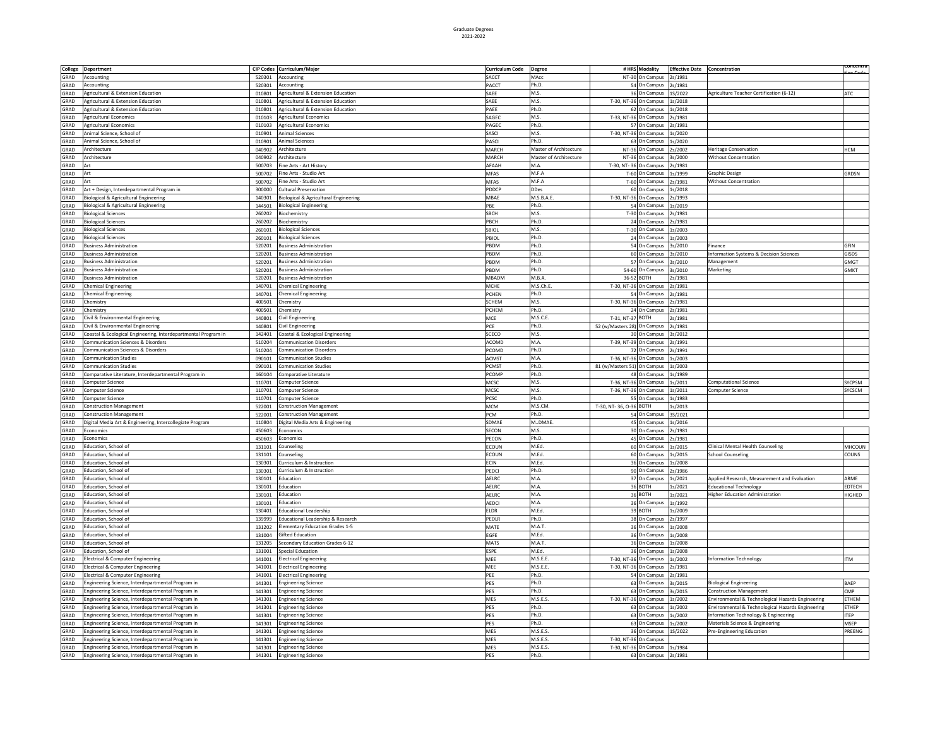|      |                                                                |        |                                        |                        |                        |                             |                       |                                     |                                                   | oncentra    |
|------|----------------------------------------------------------------|--------|----------------------------------------|------------------------|------------------------|-----------------------------|-----------------------|-------------------------------------|---------------------------------------------------|-------------|
|      | College Department                                             |        | CIP Codes Curriculum/Major             | <b>Curriculum Code</b> | <b>Degree</b>          |                             | # HRS Modality        | <b>Effective Date Concentration</b> |                                                   | والمستحرمات |
| GRAD | Accounting                                                     | 520301 | Accounting                             | SACCT                  | MAcc                   |                             | NT-30 On Campus       | 2s/1981                             |                                                   |             |
| GRAD | Accounting                                                     | 520301 | Accounting                             | PACCT                  | Ph.D.                  |                             | 54 On Campus          | 2s/1981                             |                                                   |             |
| GRAD | Agricultural & Extension Education                             | 010801 | Agricultural & Extension Education     | SAEE                   | M.S.                   |                             | 36 On Campus          | S/2022                              | Agriculture Teacher Certification (6-12)          | ATC         |
|      |                                                                |        |                                        |                        |                        |                             |                       |                                     |                                                   |             |
| GRAD | Agricultural & Extension Education                             | 010801 | Agricultural & Extension Education     | SAEE                   | M.S.                   |                             | T-30, NT-36 On Campus | ls/2018                             |                                                   |             |
| GRAD | Agricultural & Extension Education                             | 010801 | Agricultural & Extension Education     | PAEE                   | Ph.D.                  |                             | 62 On Campus          | s/2018                              |                                                   |             |
| GRAD | <b>Agricultural Economics</b>                                  | 010103 | Agricultural Economics                 | SAGEC                  | M.S.                   |                             | T-33, NT-36 On Campus | s/1981                              |                                                   |             |
| GRAD | <b>Agricultural Economics</b>                                  | 010103 | <b>Agricultural Economics</b>          | PAGEC                  | Ph.D.                  |                             | 57 On Campus          | s/1981                              |                                                   |             |
|      |                                                                |        |                                        | SASCI                  | M.S.                   |                             |                       |                                     |                                                   |             |
| GRAD | Animal Science, School of                                      | 010901 | Animal Sciences                        |                        |                        | T-30, NT-36 On Campus       |                       | s/2020                              |                                                   |             |
| GRAD | Animal Science, School of                                      | 010901 | Animal Sciences                        | PASCI                  | Ph.D.                  |                             | 63 On Campus          | s/2020                              |                                                   |             |
| GRAD | Architecture                                                   | 040902 | Architecture                           | MARCH                  | Master of Architecture |                             | NT-36 On Campus       | s/2002                              | leritage Conservation                             | <b>HCM</b>  |
| GRAD | Architecture                                                   | 040902 | Architecture                           | MARCH                  | Master of Architecture |                             | NT-36 On Campus       | s/2000                              | <b>Nithout Concentration</b>                      |             |
| GRAD | Art                                                            | 500703 | ine Arts - Art History                 | AFAAH                  | VI.A                   | T-30, NT- 36 On Campus      |                       | 2s/1981                             |                                                   |             |
|      |                                                                |        |                                        |                        |                        |                             |                       |                                     |                                                   |             |
| GRAD | Art                                                            | 500702 | ine Arts - Studio Art                  | MFAS                   | M.F.A                  |                             | T-60 On Campus        | ls/1999                             | Graphic Design                                    | GRDSN       |
| GRAD | Art                                                            | 500702 | Fine Arts - Studio Art                 | MFAS                   | M.F.A                  |                             | T-60 On Campus        | 2s/1981                             | Without Concentration                             |             |
| GRAD | Art + Design, Interdepartmental Program in                     | 300000 | Cultural Preservation                  | <b>PDDCP</b>           | <b>DDes</b>            |                             | 60 On Campus          | 1s/2018                             |                                                   |             |
| GRAD | Biological & Agricultural Engineering                          | 140301 | Biological & Agricultural Engineering  | MBAF                   | M.S.B.A.E              |                             | T-30, NT-36 On Campus | s/1993                              |                                                   |             |
|      |                                                                |        |                                        |                        |                        |                             |                       |                                     |                                                   |             |
| GRAD | Biological & Agricultural Engineering                          | 144501 | <b>Biological Engineering</b>          | PBF                    | Ph.D.                  |                             | 54 On Campus          | ls/2019                             |                                                   |             |
| GRAD | <b>Biological Sciences</b>                                     | 260202 | Biochemistry                           | SBCH                   | M.S.                   |                             | T-30 On Campus        | 2s/1981                             |                                                   |             |
| GRAD | <b>Biological Sciences</b>                                     | 260202 | Biochemistry                           | PRCH                   | Ph.D.                  |                             | 24 On Campus          | 2s/1981                             |                                                   |             |
| GRAD |                                                                | 260101 |                                        | SBIOL                  | M.S.                   |                             | T-30 On Campus        | 1s/2003                             |                                                   |             |
|      | <b>Biological Sciences</b>                                     |        | <b>Biological Sciences</b>             |                        |                        |                             |                       |                                     |                                                   |             |
| GRAD | <b>Biological Sciences</b>                                     | 260101 | <b>Biological Sciences</b>             | PBIOL                  | Ph.D.                  |                             | 24 On Campus          | 1s/2003                             |                                                   |             |
| GRAD | <b>Business Administration</b>                                 | 520201 | <b>Business Administration</b>         | PBDM                   | Ph.D.                  |                             | 54 On Campus          | 3s/2010                             | Finance                                           | GFIN        |
| GRAD | <b>Business Administration</b>                                 | 520201 | <b>Business Administration</b>         | PBDM                   | Ph.D.                  |                             | 60 On Campus          | 3s/2010                             | Information Systems & Decision Sciences           | GISDS       |
|      | <b>Business Administration</b>                                 |        | <b>Business Administration</b>         | PBDM                   | Ph.D.                  |                             |                       |                                     |                                                   |             |
| GRAD |                                                                | 520201 |                                        |                        |                        |                             | 57 On Campus          | 3s/2010                             | Management                                        | GMGT        |
| GRAD | <b>Business Administration</b>                                 | 520201 | <b>Business Administration</b>         | PBDM                   | Ph.D.                  |                             | 54-60 On Campus       | 3s/2010                             | Marketing                                         | <b>GMKT</b> |
| GRAD | <b>Business Administration</b>                                 | 520201 | <b>Business Administration</b>         | MBADM                  | M.B.A                  |                             | 36-52 BOTH            | s/1981                              |                                                   |             |
| GRAD | <b>Chemical Engineering</b>                                    | 140701 | <b>Chemical Engineering</b>            | MCHE                   | M.S.Ch.                |                             | T-30, NT-36 On Campus | 2s/1981                             |                                                   |             |
|      |                                                                |        |                                        |                        | Ph.D.                  |                             |                       |                                     |                                                   |             |
| GRAD | <b>Chemical Engineering</b>                                    | 140701 | <b>Chemical Engineering</b>            | PCHEN                  |                        |                             | 54 On Campus          | s/1981                              |                                                   |             |
| GRAD | Chemistry                                                      | 400501 | Chemistry                              | <b>SCHEM</b>           | M.S.                   |                             | T-30, NT-36 On Campus | 2s/1981                             |                                                   |             |
| GRAD | Chemistry                                                      | 400501 | Chemistry                              | PCHEM                  | Ph.D.                  |                             | 24 On Campus          | 2s/1981                             |                                                   |             |
| GRAD | Civil & Environmental Engineering                              | 140801 | <b>Civil Engineering</b>               | MCE                    | M.S.C.E                | T-31, NT-37 BOTH            |                       | s/1981                              |                                                   |             |
| GRAD |                                                                | 140801 |                                        | PCE                    | Ph.D.                  | 52 (w/Masters 28) On Campus |                       | s/1981                              |                                                   |             |
|      | Civil & Environmental Engineering                              |        | <b>Civil Engineering</b>               |                        |                        |                             |                       |                                     |                                                   |             |
| GRAD | Coastal & Ecological Engineering, Interdepartmental Program in | 142401 | Coastal & Ecological Engineering       | SCECO                  | M.S.                   |                             | 30 On Campus          | s/2012                              |                                                   |             |
| GRAD | Communication Sciences & Disorders                             | 510204 | <b>Communication Disorders</b>         | ACOMD                  | M.A.                   | T-39, NT-39 On Campus       |                       | s/1991                              |                                                   |             |
| GRAD | Communication Sciences & Disorders                             | 510204 | <b>Communication Disorders</b>         | PCOMD                  | Ph.D.                  |                             | 72 On Campus          | s/1991                              |                                                   |             |
|      | <b>Communication Studies</b>                                   |        |                                        |                        | M.A.                   |                             |                       |                                     |                                                   |             |
| GRAD |                                                                | 090101 | <b>Communication Studies</b>           | <b>ACMST</b>           |                        | T-36, NT-36 On Campus       |                       | s/2003                              |                                                   |             |
| GRAD | <b>Communication Studies</b>                                   | 090101 | <b>Communication Studies</b>           | PCMST                  | Ph.D.                  | 81 (w/Masters 51) On Campus |                       | s/2003                              |                                                   |             |
| GRAD | Comparative Literature, Interdepartmental Program in           | 160104 | Comparative Literature                 | PCOMF                  | Ph.D.                  |                             | 48 On Campus          | s/1989                              |                                                   |             |
| GRAD | Computer Science                                               | 110701 | Computer Science                       | <b>MCSC</b>            | M.S.                   | T-36, NT-36 On Campus       |                       | s/2011                              | <b>Computational Science</b>                      | SYCPSM      |
| GRAD | <b>Computer Science</b>                                        | 110701 | Computer Science                       | MCSC                   | M.S.                   | T-36, NT-36 On Campus       |                       | s/2011                              | <b>Computer Science</b>                           | SYCSCM      |
|      |                                                                |        |                                        |                        |                        |                             |                       |                                     |                                                   |             |
| GRAD | Computer Science                                               | 110701 | Computer Science                       | PCSC                   | Ph.D.                  |                             | 55 On Campus          | s/1983                              |                                                   |             |
| GRAD | <b>Construction Management</b>                                 | 522001 | Construction Management                | <b>MCM</b>             | M.S.CM                 | T-30, NT-36, O-36 BOTH      |                       | s/2013                              |                                                   |             |
| GRAD | <b>Construction Management</b>                                 | 522001 | <b>Construction Management</b>         | PCM                    | Ph.D.                  |                             | 54 On Campus          | 3S/2021                             |                                                   |             |
| GRAD |                                                                | 110804 | Digital Media Arts & Engineering       | SDMAE                  | MDMAE                  |                             | 45 On Campus          | ls/2016                             |                                                   |             |
|      | Digital Media Art & Engineering, Intercollegiate Program       |        |                                        |                        |                        |                             |                       |                                     |                                                   |             |
| GRAD | <b>Economics</b>                                               | 450603 | Economics                              | SECON                  | M.S.                   |                             | 30 On Campus          | 2s/1981                             |                                                   |             |
| GRAD | Economics                                                      | 450603 | Economics                              | PECON                  | Ph.D.                  |                             | 45 On Campus          | s/1981                              |                                                   |             |
| GRAD | Education, School of                                           | 131101 | Counseling                             | ECOUN                  | M.Ed.                  |                             | 60 On Campus          | s/2015                              | Clinical Mental Health Counseling                 | MHCOUN      |
|      | Education, School of                                           |        | Counseling                             | ECOUN                  | M.Ed.                  |                             | 60 On Campus          |                                     |                                                   | COUNS       |
| GRAD |                                                                | 131101 |                                        |                        |                        |                             |                       | 1s/2015                             | <b>School Counseling</b>                          |             |
| GRAD | Education, School of                                           | 130301 | Curriculum & Instruction               | ECIN                   | M.Ed.                  |                             | 36 On Campus          | ls/2008                             |                                                   |             |
| GRAD | Education, School of                                           | 130301 | Curriculum & Instruction               | PEDCI                  | Ph.D.                  |                             | 90 On Campus          | 2s/1986                             |                                                   |             |
| GRAD | Education, School of                                           | 130101 | Education                              | AELRO                  | M.A.                   |                             | 37 On Campus          | 1s/2021                             | Applied Research, Measurement and Evaluation      | ARME        |
| GRAD | Education, School of                                           | 130101 | Education                              | AELRC                  | M.A.                   |                             | 36 BOTH               | 1s/2021                             | <b>Educational Technology</b>                     | EDTECH      |
|      |                                                                |        |                                        |                        |                        |                             |                       |                                     |                                                   |             |
| GRAD | Education, School of                                           | 130101 | Education                              | AELRC                  | M.A.                   |                             | 36 BOTH               | 1s/2021                             | <b>Higher Education Administration</b>            | HIGHED      |
| GRAD | Education, School of                                           | 130101 | Education                              | AEDCI                  | M.A.                   |                             | 36 On Campus          | 1s/1992                             |                                                   |             |
| GRAD | Education, School of                                           | 130401 | <b>Educational Leadership</b>          | ELDR                   | M.Ed.                  |                             | 39 BOTH               | 1s/2009                             |                                                   |             |
| GRAD | Education, School of                                           | 139999 | Educational Leadership & Research      | PEDLR                  | Ph.D.                  |                             | 38 On Campus          | 2s/1997                             |                                                   |             |
|      |                                                                |        |                                        |                        |                        |                             |                       |                                     |                                                   |             |
| GRAD | Education, School of                                           | 131202 | <b>Elementary Education Grades 1-5</b> | MATE                   | M.A.T.                 |                             | 36 On Campus          | 1s/2008                             |                                                   |             |
| GRAD | Education, School of                                           | 131004 | <b>Gifted Education</b>                | EGFE                   | M.Ed.                  |                             | 36 On Campus          | 1s/2008                             |                                                   |             |
| GRAD | Education, School of                                           | 131205 | Secondary Education Grades 6-12        | MATS                   | M.A.T.                 |                             | 36 On Campus          | 1s/2008                             |                                                   |             |
| GRAD | Education, School of                                           | 131001 | <b>Special Education</b>               | ESPE                   | M.Ed.                  |                             | 36 On Campus          | ls/2008                             |                                                   |             |
|      |                                                                |        |                                        |                        |                        |                             |                       |                                     |                                                   |             |
| GRAD | Electrical & Computer Engineering                              | 141001 | <b>Electrical Engineering</b>          | MEE                    | M.S.E.E.               |                             | T-30, NT-36 On Campus | s/2002                              | <b>Information Technology</b>                     | TM          |
| GRAD | Electrical & Computer Engineering                              | 141001 | <b>Electrical Engineering</b>          | MEE                    | M.S.E.E.               |                             | T-30, NT-36 On Campus | s/1981                              |                                                   |             |
| GRAD | Electrical & Computer Engineering                              | 141001 | <b>Electrical Engineering</b>          | PFF                    | Ph.D.                  |                             | 54 On Campus          | s/1981                              |                                                   |             |
| GRAD | Engineering Science, Interdepartmental Program in              | 141301 | <b>Engineering Science</b>             | PES                    | Ph.D.                  |                             | 63 On Campus          | s/2015                              | <b>Biological Engineering</b>                     | BAEP        |
|      |                                                                |        |                                        |                        |                        |                             |                       |                                     |                                                   |             |
| GRAD | Engineering Science, Interdepartmental Program in              | 141301 | <b>Engineering Science</b>             | PES                    | Ph.D.                  |                             | 63 On Campus          | s/2015                              | Construction Management                           | <b>CMP</b>  |
| GRAD | Engineering Science, Interdepartmental Program in              | 141301 | <b>Engineering Science</b>             | MES                    | M.S.E.S.               |                             | T-30, NT-36 On Campus | s/2002                              | Environmental & Technological Hazards Engineering | <b>THEM</b> |
| GRAD | Engineering Science, Interdepartmental Program in              | 141301 | <b>Engineering Science</b>             | PES                    | Ph.D.                  |                             | 63 On Campus          | s/2002                              | Environmental & Technological Hazards Engineering | ETHEP       |
| GRAD | Engineering Science, Interdepartmental Program in              | 141301 | <b>Engineering Science</b>             | PES                    | Ph.D.                  |                             | 63 On Campus          | s/2002                              | nformation Technology & Engineering               | TEP         |
|      |                                                                |        |                                        |                        |                        |                             |                       |                                     |                                                   |             |
| GRAD | Engineering Science, Interdepartmental Program in              | 141301 | <b>Engineering Science</b>             | PES                    | Ph.D.                  |                             | 63 On Campus          | s/2002                              | Materials Science & Engineering                   | MSEP        |
| GRAD | Engineering Science, Interdepartmental Program in              | 141301 | <b>Engineering Science</b>             | MES                    | M.S.E.S.               |                             | 36 On Campus          | S/2022                              | Pre-Engineering Education                         | PREENG      |
| GRAD | Engineering Science, Interdepartmental Program in              | 141301 | <b>Engineering Science</b>             | MES                    | M.S.E.S.               | T-30, NT-36 On Campus       |                       |                                     |                                                   |             |
| GRAD | Engineering Science, Interdepartmental Program in              | 141301 | <b>Engineering Science</b>             | MES                    | M.S.E.S.               |                             | T-30, NT-36 On Campus | 1s/1984                             |                                                   |             |
| GRAD | Engineering Science, Interdepartmental Program in              | 141301 | <b>Engineering Science</b>             | PES                    | Ph.D.                  |                             | 63 On Campus          | 2s/1981                             |                                                   |             |
|      |                                                                |        |                                        |                        |                        |                             |                       |                                     |                                                   |             |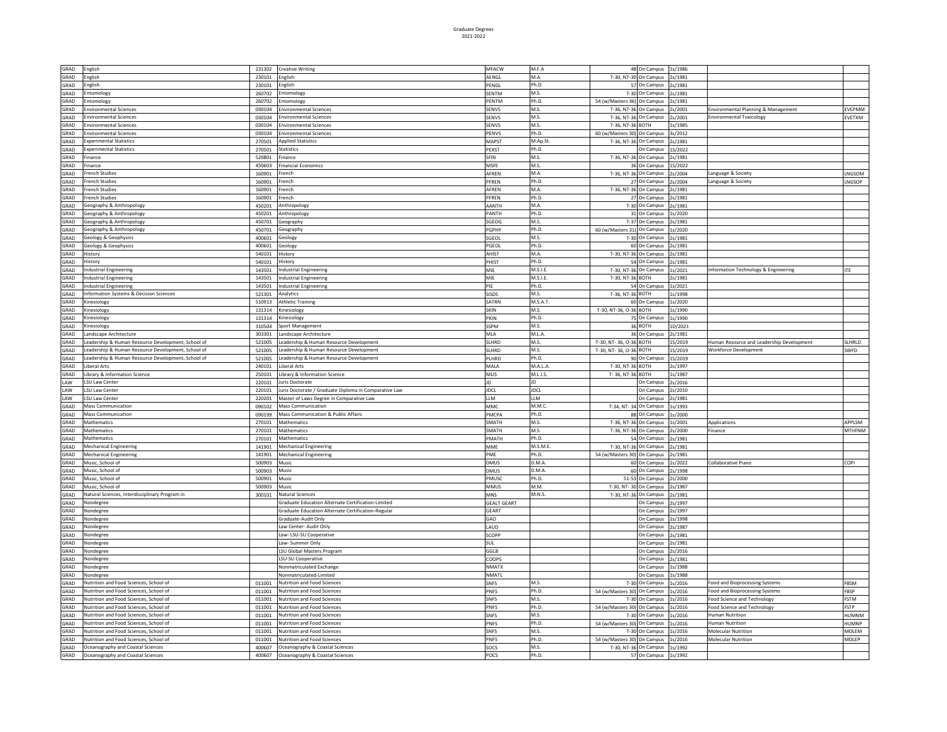| GRAD         | English                                                                | 231302           | <b>Creative Writing</b>                                            | MFACW              | M.F.A         | 48 On Campus 1s/1986                  |                    |                                                       |               |
|--------------|------------------------------------------------------------------------|------------------|--------------------------------------------------------------------|--------------------|---------------|---------------------------------------|--------------------|-------------------------------------------------------|---------------|
| GRAD         | inglish                                                                | 230101           | English                                                            | AENGL              | M.A.          | T-30, NT-30 On Campus                 | 2s/1981            |                                                       |               |
| GRAD         | inglish                                                                | 230101           | English                                                            | PENGL              | Ph.D.         | On Campus<br>57                       | 2s/1981            |                                                       |               |
| GRAD         | intomology                                                             | 260702           | Entomology                                                         | SENTM              | M.S.          | $T-30$<br>On Campus                   | 2s/1981            |                                                       |               |
| GRAD         | Entomology                                                             | 260702           | Entomology                                                         | PFNTM              | Ph.D.         | On Campus                             | 2s/1981            |                                                       |               |
| GRAD         |                                                                        |                  |                                                                    |                    | M.S.          | 54 (w/Masters 36)                     |                    |                                                       | <b>VFPMM</b>  |
|              | <b>Environmental Sciences</b>                                          | 030104           | <b>Environmental Sciences</b>                                      | SENVS              |               | T-36, NT-36<br>On Campus              | 2s/2001            | Environmental Planning & Management                   |               |
| GRAD         | <b>Environmental Sciences</b>                                          | 030104           | <b>Environmental Sciences</b>                                      | SENVS              | M.S.          | T-36, NT-36<br>On Campus              | 2s/2001            | <b>Environmental Toxicology</b>                       | EVETXM        |
| GRAD         | Environmental Sciences                                                 | 030104           | <b>Environmental Sciences</b>                                      | SENVS              | M.S.          | T-36, NT-36<br><b>SOTH</b>            | ls/1985            |                                                       |               |
| GRAD         | Environmental Sciences                                                 | 030104           | <b>Environmental Sciences</b>                                      | PENVS              | Ph.D.         | 60 (w/Masters 30)<br>On Campus        | 3s/2012            |                                                       |               |
| GRAD         | <b>Experimental Statistics</b>                                         | 270501           | <b>Applied Statistics</b>                                          | MAPST              | M.Ap.St       | T-36, NT-36<br>On Campus              | 2s/1981            |                                                       |               |
| GRAD         | <b>Experimental Statistics</b>                                         | 270501           | <b>Statistics</b>                                                  | PEXST              | Ph.D.         | In Campus                             | 1S/2022            |                                                       |               |
| GRAD         | inance                                                                 | 520801           | Finance                                                            | SFIN               | M.S.          | T-36, NT-36<br>On Campus              | 2s/1981            |                                                       |               |
| GRAD         | inance                                                                 | 450603           | Financial Economics                                                | MSFF               | M.S.          | 36<br>On Campus                       | 1S/2022            |                                                       |               |
| GRAD         | rench Studies                                                          | 160901           | French                                                             | AFREN              | M.A.          | T-36, NT-36<br>On Campus              | 2s/2004            | Language & Society                                    | <b>NGSOM</b>  |
| GRAD         | rench Studies                                                          | 160901           | French                                                             | PFRFN              | Ph.D.         | 27 On Campus                          | s/2004             | Language & Society                                    | LNGSOP        |
| GRAD         | French Studies                                                         | 160901           | rench                                                              | AFRFN              | M.A.          | T-36, NT-36<br>On Campus              | 2s/1981            |                                                       |               |
| GRAD         | French Studies                                                         | 160901           | French                                                             | PFRFN              | Ph.D.         | 27 On Campus                          | 2s/1981            |                                                       |               |
| GRAD         | Geography & Anthropology                                               | 450201           | Anthropology                                                       | AANTH              | M.A.          | T-30 On Campus                        | 2s/1981            |                                                       |               |
| GRAD         | Geography & Anthropology                                               | 450201           | Anthropology                                                       | PANTH              | Ph.D.         | 31 On Campus                          | 1s/2020            |                                                       |               |
| GRAD         | Geography & Anthropology                                               | 450701           |                                                                    | SGFOG              | M.S.          | T-37 On Campus                        | 2s/1981            |                                                       |               |
| GRAD         |                                                                        | 450701           | Geography                                                          | PGPHY              | Ph.D.         | On Campus                             | 1s/2020            |                                                       |               |
| GRAD         | Geography & Anthropology                                               | 400601           | Geography                                                          | SGEOL              | M.S.          | 60 (w/Masters 31)                     | 2s/1981            |                                                       |               |
|              | Geology & Geophysics                                                   |                  | Geology                                                            |                    |               | T-30 On Campus                        |                    |                                                       |               |
| GRAD         | Geology & Geophysics                                                   | 400601           | Geology                                                            | PGFOL              | Ph.D.         | 60 On Campus                          | 2s/1981            |                                                       |               |
| GRAD         | History                                                                | 540101           | History                                                            | AHIST              | M.A.          | T-30, NT-36 On Campus                 | 2s/1981            |                                                       |               |
| GRAD         | listory                                                                | 540101           | History                                                            | PHIST              | Ph.D.         | 54<br>On Campus                       | 2s/1981            |                                                       |               |
| GRAD         | ndustrial Engineering                                                  | 143501           | Industrial Engineering                                             | MIE                | M.S.I.E.      | T-30, NT-36<br>On Campus              | ls/2021            | Information Technology & Engineering                  | TE            |
| GRAD         | ndustrial Engineering                                                  | 143501           | <b>Industrial Engineering</b>                                      | MIE                | M.S.I.E.      | T-30, NT-36 BOTH                      | 2s/1981            |                                                       |               |
| GRAD         | ndustrial Engineering                                                  | 143501           | <b>Industrial Engineering</b>                                      | PIE                | Ph.D.         | 54 On Campus                          | 1s/2021            |                                                       |               |
| GRAD         | nformation Systems & Decision Sciences                                 | 521301           | Analytics                                                          | SISDS              | M.S.          | T-36, NT-36 BOTH                      | ls/1998            |                                                       |               |
| GRAD         | Kinesiology                                                            | 510913           | <b>Athletic Training</b>                                           | SATRN              | M.S.A.T       | 60 On Campus                          | 1s/2020            |                                                       |               |
| GRAD         | <b>Cinesiology</b>                                                     | 131314           | Kinesiology                                                        | SKIN               | M.S.          | T-30, NT-36, O-36 BOTH                | ls/1990            |                                                       |               |
| GRAD         | inesiology                                                             | 131314           | Kinesiology                                                        | PKIN               | Ph.D.         | 75 On Campus                          | 1s/1990            |                                                       |               |
| GRAD         |                                                                        | 310504           |                                                                    | SSPM               |               |                                       |                    |                                                       |               |
|              | inesiology                                                             |                  | Sport Management                                                   |                    | M.S.          | 36 BOTH                               | 1D/2021            |                                                       |               |
| GRAD         | Landscape Architecture                                                 | 303301           | Landscape Architecture                                             | MLA                | M.L.A         | 36 On Campus                          | 2s/1981            |                                                       |               |
| GRAD         | Leadership & Human Resource Development, School of                     | 521005           | Leadership & Human Resource Development                            | <b>SLHRD</b>       | M.S.          | T-30, NT-36, O-36 BOTH                | 1S/2019            | Human Resource and Leadership Development             | SLHRLD        |
| GRAD         | Leadership & Human Resource Development, School of                     | 521005           | Leadership & Human Resource Development                            | SI HRD             | M.S.          | T-30, NT-36, O-36 BOTH                | 1S/2019            | <b>Workforce Development</b>                          | SWFD          |
| GRAD         | Leadership & Human Resource Development, School of                     | 521005           | Leadership & Human Resource Development                            | PLHRD              | Ph.D.         | 90 On Campus                          | 1S/2019            |                                                       |               |
|              |                                                                        |                  |                                                                    |                    |               |                                       |                    |                                                       |               |
| GRAD         | Liberal Arts                                                           | 240101           | <b>Liberal Arts</b>                                                | MALA               | M.A.I.A       | T-30, NT-36 BOTH                      | 2s/1997            |                                                       |               |
| GRAD         | Library & Information Science                                          | 250101           | Library & Information Science                                      | MLIS               | M.L.I.S.      | T-36, NT-36 BOTH                      | 1s/1987            |                                                       |               |
|              | LSU Law Center                                                         |                  | Juris Doctorate                                                    | JD                 | JD            | On Campus                             |                    |                                                       |               |
| LAW          | LSU Law Center                                                         | 220101           |                                                                    |                    | <b>JDCL</b>   |                                       | 2s/2016            |                                                       |               |
| LAW          |                                                                        | 220101           | Juris Doctorate / Graduate Diploma in Comparative Law              | jdcl               | <b>IIM</b>    | On Campus                             | 2s/2010            |                                                       |               |
| LAW          | LSU Law Center                                                         | 220201           | Master of Laws Degree in Comparative Law                           | LLM                | M.M.C         | On Campus                             | 2s/1981            |                                                       |               |
| GRAD         | Mass Communication                                                     | 090102           | Mass Communication                                                 | MMC                |               | T-34, NT-34<br>On Campus              | ls/1993            |                                                       |               |
| GRAD         | Mass Communication                                                     | 090199           | Mass Communication & Public Affairs                                | PMCPA              | Ph.D.         | 88<br>On Campus                       | 1s/2000            |                                                       |               |
| GRAD         | Mathematics                                                            | 270101           | Mathematics                                                        | SMATH              | M.S.          | T-36, NT-36 On Campus                 | 1s/2001            | <b>Applications</b>                                   | APPLSM        |
| GRAD         | Mathematics                                                            | 270101           | Mathematics                                                        | SMATH              | M.S.          | T-36, NT-36 On Campus                 | 2s/2000            | Finance                                               | MTHFNM        |
| GRAD         | Mathematics                                                            | 270101           | Mathematics                                                        | PMATH              | Ph.D.         | 54 On Campus                          | 2s/1981            |                                                       |               |
| GRAD         | <b>Mechanical Engineering</b>                                          | 141901           | <b>Mechanical Engineering</b>                                      | MME                | M.S.M.E       | T-30, NT-36 On Campus                 | 2s/1981            |                                                       |               |
| GRAD         | <b>Mechanical Engineering</b>                                          | 141901           | <b>Mechanical Engineering</b>                                      | PME                | Ph.D.         | 54 (w/Masters 30) On Campus           | 2s/1981            |                                                       |               |
| GRAD         | Music, School of                                                       | 500903           | Music                                                              | <b>DMUS</b>        | D.M.A         | 60 On Campus                          | Is/2022            | <b>Collaborative Piano</b>                            | COPI          |
| GRAD         | Music, School of                                                       | 500903           | Music                                                              | <b>DMUS</b>        | D.M.A         | 60 On Campus                          | 2s/1998            |                                                       |               |
| GRAD         | Music, School of                                                       | 500901           | Music                                                              | PMUSO              | Ph.D.         | 51-53<br>On Campus                    | 2s/2000            |                                                       |               |
| GRAD         | Music, School of                                                       | 500903           | Music                                                              | MMUS               | M.M.          | T-30, NT-30 On Campus                 | 2s/1987            |                                                       |               |
| GRAD         | Natural Sciences, Interdisciplinary Program in                         | 300101           | <b>Natural Sciences</b>                                            | <b>MNS</b>         | M.N.S         | T-30, NT-36 On Campus                 | s/1981             |                                                       |               |
|              |                                                                        |                  |                                                                    |                    |               | On Campus                             |                    |                                                       |               |
| GRAD         | Nondegree                                                              |                  | Graduate Education Alternate Certification-Limited                 | <b>GEALT GEART</b> |               |                                       | 2s/1997            |                                                       |               |
| GRAD         | Nondegree                                                              |                  | Graduate Education Alternate Certification-Regular                 | GEART              |               | On Campus                             | 2s/1997            |                                                       |               |
| GRAD         | Nondegree                                                              |                  | Graduate-Audit Only                                                | GAO                |               | On Campus                             | ls/1998            |                                                       |               |
| GRAD         | Nondegree                                                              |                  | Law Center- Audit Only                                             | LAUD               |               | On Campus                             | 2s/1987            |                                                       |               |
| GRAD         | Nondegree                                                              |                  | Law- LSU-SU Cooperative                                            | SCOPP              |               | On Campus                             | s/1981             |                                                       |               |
| GRAD         | Nondegree                                                              |                  | Law- Summer Only                                                   | SUL                |               | On Campus                             | 2s/1981            |                                                       |               |
| GRAD         | Nondegree                                                              |                  | <b>LSU Global Masters Program</b>                                  | GGLB               |               | On Campus                             | 2s/2016            |                                                       |               |
| GRAD         | Nondegree                                                              |                  | LSU-SU Cooperative                                                 | COOPS              |               | On Campus                             | 2s/1981            |                                                       |               |
| GRAD         | Nondegree                                                              |                  | Nonmatriculated Exchange                                           | NMATX              |               | On Campus                             | ls/1988            |                                                       |               |
| GRAD         | Nondegree                                                              |                  | Nonmatriculated-Limited                                            | NMATI              |               | On Campus                             | ls/1988            |                                                       |               |
| GRAD         | Nutrition and Food Sciences, School of                                 | 011001           | Nutrition and Food Sciences                                        | SNFS               | M.S.          | $T-30$<br>On Campus                   | ls/2016            | Food and Bioprocessing Systems                        | FBSM          |
| GRAD         | Nutrition and Food Sciences, School of                                 | 011001           | Nutrition and Food Sciences                                        | PNFS               | Ph.D.         | 54 (w/Masters 30)<br>On Campus        | ls/2016            | Food and Bioprocessing Systems                        | FBSP          |
| GRAD         | Nutrition and Food Sciences, School of                                 | 011001           | Nutrition and Food Sciences                                        | SNFS               | M.S.          | T-30 On Campus                        | ls/2016            | Food Science and Technology                           | FSTM          |
|              |                                                                        |                  |                                                                    |                    | Ph.D.         |                                       |                    |                                                       |               |
| GRAD<br>GRAD | Nutrition and Food Sciences, School of                                 | 011001           | Nutrition and Food Sciences                                        | PNFS<br>SNFS       |               | 54 (w/Masters 30) On Campus           | ls/2016            | Food Science and Technology<br><b>Human Nutrition</b> | FSTP<br>HUMNM |
| GRAD         | Nutrition and Food Sciences, School of                                 | 011001           | Nutrition and Food Sciences                                        |                    | M.S.          | T-30 On Campus                        | ls/2016            |                                                       |               |
|              | Nutrition and Food Sciences, School of                                 | 011001           | Nutrition and Food Sciences                                        | PNFS               | Ph.D.         | 54 (w/Masters 30) On Campus           | ls/2016            | <b>Human Nutrition</b>                                | <b>IUMNP</b>  |
| GRAD         | Nutrition and Food Sciences, School of                                 | 011001           | Nutrition and Food Sciences                                        | SNFS               | M.S.          | T-30 On Campus                        | ls/2016            | <b>Molecular Nutrition</b>                            | MOLEM         |
| GRAD         | Nutrition and Food Sciences, School of                                 | 011001           | Nutrition and Food Sciences                                        | PNFS               | Ph.D.         | 54 (w/Masters 30)<br>On Campus        | ls/2016            | <b>Molecular Nutrition</b>                            | MOLEP         |
| GRAD<br>GRAD | Oceanography and Coastal Sciences<br>Oceanography and Coastal Sciences | 400607<br>400607 | Oceanography & Coastal Sciences<br>Oceanography & Coastal Sciences | SOCS<br>POCS       | M.S.<br>Ph.D. | T-30, NT-36 On Campus<br>57 On Campus | ls/1992<br>1s/1992 |                                                       |               |